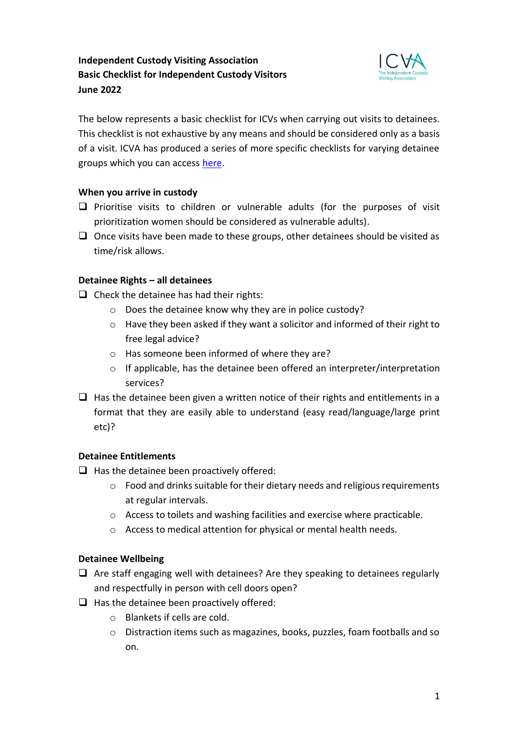# **Independent Custody Visiting Association Basic Checklist for Independent Custody Visitors June 2022**



The below represents a basic checklist for ICVs when carrying out visits to detainees. This checklist is not exhaustive by any means and should be considered only as a basis of a visit. ICVA has produced a series of more specific checklists for varying detainee groups which you can access [here.](https://icva.org.uk/icv-resources/)

## **When you arrive in custody**

- ❑ Prioritise visits to children or vulnerable adults (for the purposes of visit prioritization women should be considered as vulnerable adults).
- $\Box$  Once visits have been made to these groups, other detainees should be visited as time/risk allows.

## **Detainee Rights – all detainees**

- $\Box$  Check the detainee has had their rights:
	- o Does the detainee know why they are in police custody?
	- o Have they been asked if they want a solicitor and informed of their right to free legal advice?
	- o Has someone been informed of where they are?
	- o If applicable, has the detainee been offered an interpreter/interpretation services?
- $\Box$  Has the detainee been given a written notice of their rights and entitlements in a format that they are easily able to understand (easy read/language/large print etc)?

## **Detainee Entitlements**

- $\Box$  Has the detainee been proactively offered:
	- o Food and drinks suitable for their dietary needs and religious requirements at regular intervals.
	- o Access to toilets and washing facilities and exercise where practicable.
	- o Access to medical attention for physical or mental health needs.

## **Detainee Wellbeing**

- $\Box$  Are staff engaging well with detainees? Are they speaking to detainees regularly and respectfully in person with cell doors open?
- $\Box$  Has the detainee been proactively offered:
	- o Blankets if cells are cold.
	- o Distraction items such as magazines, books, puzzles, foam footballs and so on.